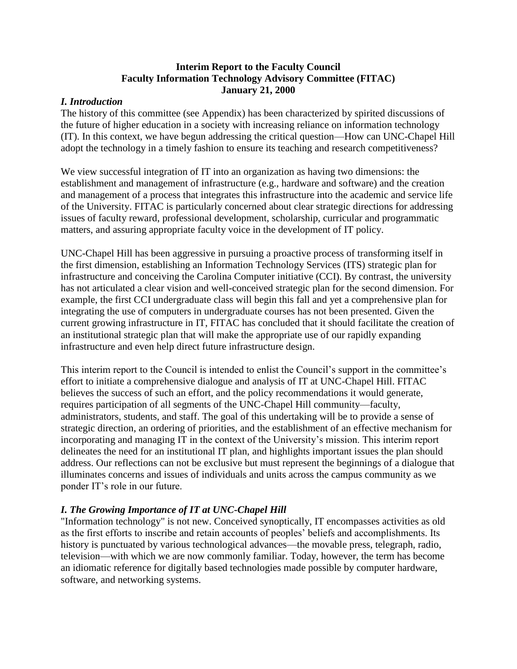### **Interim Report to the Faculty Council Faculty Information Technology Advisory Committee (FITAC) January 21, 2000**

### *I. Introduction*

The history of this committee (see Appendix) has been characterized by spirited discussions of the future of higher education in a society with increasing reliance on information technology (IT). In this context, we have begun addressing the critical question—How can UNC-Chapel Hill adopt the technology in a timely fashion to ensure its teaching and research competitiveness?

We view successful integration of IT into an organization as having two dimensions: the establishment and management of infrastructure (e.g., hardware and software) and the creation and management of a process that integrates this infrastructure into the academic and service life of the University. FITAC is particularly concerned about clear strategic directions for addressing issues of faculty reward, professional development, scholarship, curricular and programmatic matters, and assuring appropriate faculty voice in the development of IT policy.

UNC-Chapel Hill has been aggressive in pursuing a proactive process of transforming itself in the first dimension, establishing an Information Technology Services (ITS) strategic plan for infrastructure and conceiving the Carolina Computer initiative (CCI). By contrast, the university has not articulated a clear vision and well-conceived strategic plan for the second dimension. For example, the first CCI undergraduate class will begin this fall and yet a comprehensive plan for integrating the use of computers in undergraduate courses has not been presented. Given the current growing infrastructure in IT, FITAC has concluded that it should facilitate the creation of an institutional strategic plan that will make the appropriate use of our rapidly expanding infrastructure and even help direct future infrastructure design.

This interim report to the Council is intended to enlist the Council's support in the committee's effort to initiate a comprehensive dialogue and analysis of IT at UNC-Chapel Hill. FITAC believes the success of such an effort, and the policy recommendations it would generate, requires participation of all segments of the UNC-Chapel Hill community—faculty, administrators, students, and staff. The goal of this undertaking will be to provide a sense of strategic direction, an ordering of priorities, and the establishment of an effective mechanism for incorporating and managing IT in the context of the University's mission. This interim report delineates the need for an institutional IT plan, and highlights important issues the plan should address. Our reflections can not be exclusive but must represent the beginnings of a dialogue that illuminates concerns and issues of individuals and units across the campus community as we ponder IT's role in our future.

# *I. The Growing Importance of IT at UNC-Chapel Hill*

"Information technology" is not new. Conceived synoptically, IT encompasses activities as old as the first efforts to inscribe and retain accounts of peoples' beliefs and accomplishments. Its history is punctuated by various technological advances—the movable press, telegraph, radio, television—with which we are now commonly familiar. Today, however, the term has become an idiomatic reference for digitally based technologies made possible by computer hardware, software, and networking systems.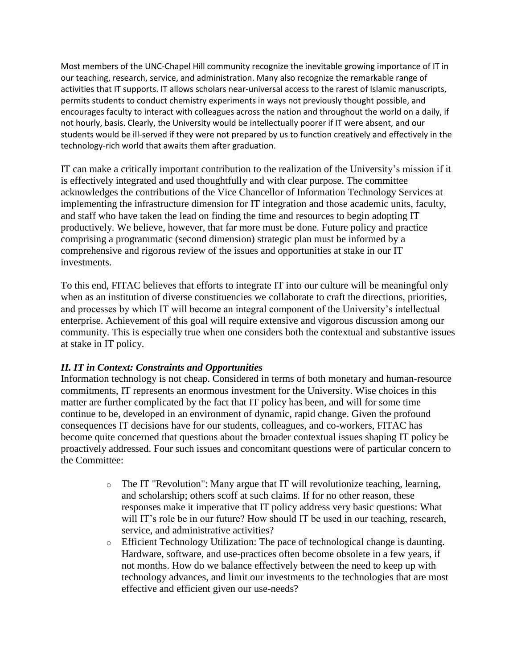Most members of the UNC-Chapel Hill community recognize the inevitable growing importance of IT in our teaching, research, service, and administration. Many also recognize the remarkable range of activities that IT supports. IT allows scholars near-universal access to the rarest of Islamic manuscripts, permits students to conduct chemistry experiments in ways not previously thought possible, and encourages faculty to interact with colleagues across the nation and throughout the world on a daily, if not hourly, basis. Clearly, the University would be intellectually poorer if IT were absent, and our students would be ill-served if they were not prepared by us to function creatively and effectively in the technology-rich world that awaits them after graduation.

IT can make a critically important contribution to the realization of the University's mission if it is effectively integrated and used thoughtfully and with clear purpose. The committee acknowledges the contributions of the Vice Chancellor of Information Technology Services at implementing the infrastructure dimension for IT integration and those academic units, faculty, and staff who have taken the lead on finding the time and resources to begin adopting IT productively. We believe, however, that far more must be done. Future policy and practice comprising a programmatic (second dimension) strategic plan must be informed by a comprehensive and rigorous review of the issues and opportunities at stake in our IT investments.

To this end, FITAC believes that efforts to integrate IT into our culture will be meaningful only when as an institution of diverse constituencies we collaborate to craft the directions, priorities, and processes by which IT will become an integral component of the University's intellectual enterprise. Achievement of this goal will require extensive and vigorous discussion among our community. This is especially true when one considers both the contextual and substantive issues at stake in IT policy.

# *II. IT in Context: Constraints and Opportunities*

Information technology is not cheap. Considered in terms of both monetary and human-resource commitments, IT represents an enormous investment for the University. Wise choices in this matter are further complicated by the fact that IT policy has been, and will for some time continue to be, developed in an environment of dynamic, rapid change. Given the profound consequences IT decisions have for our students, colleagues, and co-workers, FITAC has become quite concerned that questions about the broader contextual issues shaping IT policy be proactively addressed. Four such issues and concomitant questions were of particular concern to the Committee:

- $\circ$  The IT "Revolution": Many argue that IT will revolutionize teaching, learning, and scholarship; others scoff at such claims. If for no other reason, these responses make it imperative that IT policy address very basic questions: What will IT's role be in our future? How should IT be used in our teaching, research, service, and administrative activities?
- o Efficient Technology Utilization: The pace of technological change is daunting. Hardware, software, and use-practices often become obsolete in a few years, if not months. How do we balance effectively between the need to keep up with technology advances, and limit our investments to the technologies that are most effective and efficient given our use-needs?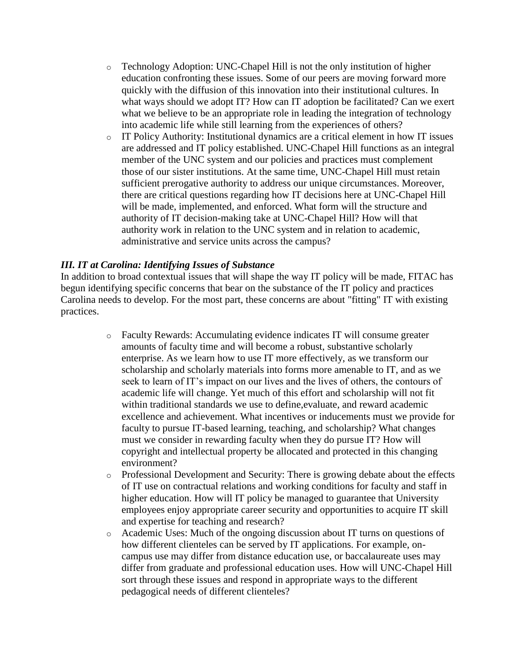- o Technology Adoption: UNC-Chapel Hill is not the only institution of higher education confronting these issues. Some of our peers are moving forward more quickly with the diffusion of this innovation into their institutional cultures. In what ways should we adopt IT? How can IT adoption be facilitated? Can we exert what we believe to be an appropriate role in leading the integration of technology into academic life while still learning from the experiences of others?
- o IT Policy Authority: Institutional dynamics are a critical element in how IT issues are addressed and IT policy established. UNC-Chapel Hill functions as an integral member of the UNC system and our policies and practices must complement those of our sister institutions. At the same time, UNC-Chapel Hill must retain sufficient prerogative authority to address our unique circumstances. Moreover, there are critical questions regarding how IT decisions here at UNC-Chapel Hill will be made, implemented, and enforced. What form will the structure and authority of IT decision-making take at UNC-Chapel Hill? How will that authority work in relation to the UNC system and in relation to academic, administrative and service units across the campus?

#### *III. IT at Carolina: Identifying Issues of Substance*

In addition to broad contextual issues that will shape the way IT policy will be made, FITAC has begun identifying specific concerns that bear on the substance of the IT policy and practices Carolina needs to develop. For the most part, these concerns are about "fitting" IT with existing practices.

- o Faculty Rewards: Accumulating evidence indicates IT will consume greater amounts of faculty time and will become a robust, substantive scholarly enterprise. As we learn how to use IT more effectively, as we transform our scholarship and scholarly materials into forms more amenable to IT, and as we seek to learn of IT's impact on our lives and the lives of others, the contours of academic life will change. Yet much of this effort and scholarship will not fit within traditional standards we use to define,evaluate, and reward academic excellence and achievement. What incentives or inducements must we provide for faculty to pursue IT-based learning, teaching, and scholarship? What changes must we consider in rewarding faculty when they do pursue IT? How will copyright and intellectual property be allocated and protected in this changing environment?
- o Professional Development and Security: There is growing debate about the effects of IT use on contractual relations and working conditions for faculty and staff in higher education. How will IT policy be managed to guarantee that University employees enjoy appropriate career security and opportunities to acquire IT skill and expertise for teaching and research?
- o Academic Uses: Much of the ongoing discussion about IT turns on questions of how different clienteles can be served by IT applications. For example, oncampus use may differ from distance education use, or baccalaureate uses may differ from graduate and professional education uses. How will UNC-Chapel Hill sort through these issues and respond in appropriate ways to the different pedagogical needs of different clienteles?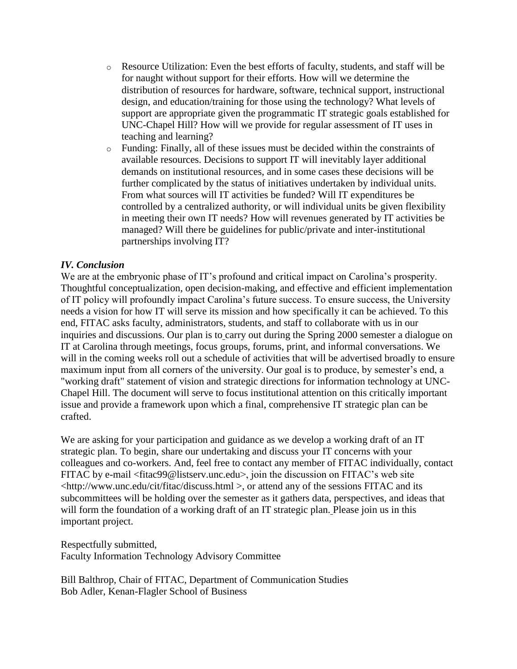- o Resource Utilization: Even the best efforts of faculty, students, and staff will be for naught without support for their efforts. How will we determine the distribution of resources for hardware, software, technical support, instructional design, and education/training for those using the technology? What levels of support are appropriate given the programmatic IT strategic goals established for UNC-Chapel Hill? How will we provide for regular assessment of IT uses in teaching and learning?
- o Funding: Finally, all of these issues must be decided within the constraints of available resources. Decisions to support IT will inevitably layer additional demands on institutional resources, and in some cases these decisions will be further complicated by the status of initiatives undertaken by individual units. From what sources will IT activities be funded? Will IT expenditures be controlled by a centralized authority, or will individual units be given flexibility in meeting their own IT needs? How will revenues generated by IT activities be managed? Will there be guidelines for public/private and inter-institutional partnerships involving IT?

### *IV. Conclusion*

We are at the embryonic phase of IT's profound and critical impact on Carolina's prosperity. Thoughtful conceptualization, open decision-making, and effective and efficient implementation of IT policy will profoundly impact Carolina's future success. To ensure success, the University needs a vision for how IT will serve its mission and how specifically it can be achieved. To this end, FITAC asks faculty, administrators, students, and staff to collaborate with us in our inquiries and discussions. Our plan is to carry out during the Spring 2000 semester a dialogue on IT at Carolina through meetings, focus groups, forums, print, and informal conversations. We will in the coming weeks roll out a schedule of activities that will be advertised broadly to ensure maximum input from all corners of the university. Our goal is to produce, by semester's end, a "working draft" statement of vision and strategic directions for information technology at UNC-Chapel Hill. The document will serve to focus institutional attention on this critically important issue and provide a framework upon which a final, comprehensive IT strategic plan can be crafted.

We are asking for your participation and guidance as we develop a working draft of an IT strategic plan. To begin, share our undertaking and discuss your IT concerns with your colleagues and co-workers. And, feel free to contact any member of FITAC individually, contact FITAC by e-mail <fitac99@listserv.unc.edu>, join the discussion on FITAC's web site <http://www.unc.edu/cit/fitac/discuss.html >, or attend any of the sessions FITAC and its subcommittees will be holding over the semester as it gathers data, perspectives, and ideas that will form the foundation of a working draft of an IT strategic plan. Please join us in this important project.

Respectfully submitted,

Faculty Information Technology Advisory Committee

Bill Balthrop, Chair of FITAC, Department of Communication Studies Bob Adler, Kenan-Flagler School of Business